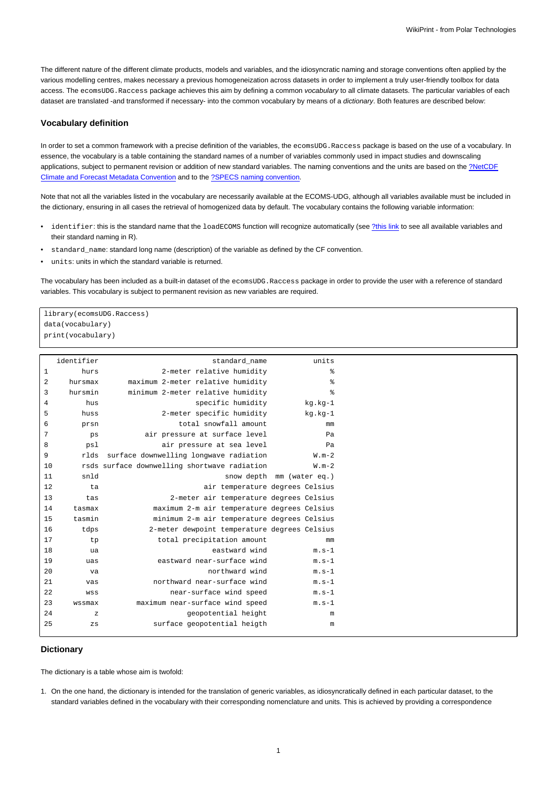The different nature of the different climate products, models and variables, and the idiosyncratic naming and storage conventions often applied by the various modelling centres, makes necessary a previous homogeneization across datasets in order to implement a truly user-friendly toolbox for data access. The ecomsUDG.Raccess package achieves this aim by defining a common vocabulary to all climate datasets. The particular variables of each dataset are translated -and transformed if necessary- into the common vocabulary by means of a dictionary. Both features are described below:

## **Vocabulary definition**

In order to set a common framework with a precise definition of the variables, the ecomsUDG. Raccess package is based on the use of a vocabulary. In essence, the vocabulary is a table containing the standard names of a number of variables commonly used in impact studies and downscaling applications, subject to permanent revision or addition of new standard variables. The naming conventions and the units are based on the [?NetCDF](http://cfconventions.org/) [Climate and Forecast Metadata Convention](http://cfconventions.org/) and to the [?SPECS naming convention](http://www.specs-fp7.eu/wiki/index.php/Data#SPECS_convention).

Note that not all the variables listed in the vocabulary are necessarily available at the ECOMS-UDG, although all variables available must be included in the dictionary, ensuring in all cases the retrieval of homogenized data by default. The vocabulary contains the following variable information:

- identifier: this is the standard name that the loadECOMS function will recognize automatically (see [?this link](http://www.meteo.unican.es/ecoms-udg/DataServer/ListOfVariables) to see all available variables and their standard naming in R).
- standard\_name: standard long name (description) of the variable as defined by the CF convention.
- units: units in which the standard variable is returned.

The vocabulary has been included as a built-in dataset of the ecomsUDG. Raccess package in order to provide the user with a reference of standard variables. This vocabulary is subject to permanent revision as new variables are required.

library(ecomsUDG.Raccess) data(vocabulary) print(vocabulary)

| identifier   |              | standard name                                | units                     |
|--------------|--------------|----------------------------------------------|---------------------------|
| $\mathbf{1}$ | hurs         | 2-meter relative humidity                    | နွ                        |
| $\sqrt{2}$   | hursmax      | maximum 2-meter relative humidity            | ిక                        |
| 3            | hursmin      | minimum 2-meter relative humidity            | る                         |
| 4            | hus          | specific humidity                            | kg.kg-1                   |
| 5            | huss         | 2-meter specific humidity                    | kg.kg-1                   |
| 6            | prsn         | total snowfall amount                        | mm                        |
| 7            | ps           | air pressure at surface level                | Pa                        |
| 8            | psl          | air pressure at sea level                    | Pa                        |
| 9            | rlds         | surface downwelling longwave radiation       | $W.m-2$                   |
| 10           |              | rsds surface downwelling shortwave radiation | $W.m-2$                   |
| 11           | snld         |                                              | snow depth mm (water eq.) |
| 12           | ta           | air temperature degrees Celsius              |                           |
| 13           | tas          | 2-meter air temperature degrees Celsius      |                           |
| 14           | tasmax       | maximum 2-m air temperature degrees Celsius  |                           |
| 15           | tasmin       | minimum 2-m air temperature degrees Celsius  |                           |
| 16           | tdps         | 2-meter dewpoint temperature degrees Celsius |                           |
| 17           | tp           | total precipitation amount                   | mm                        |
| 18           | ua           | eastward wind                                | $m.s-1$                   |
| 19           | uas          | eastward near-surface wind                   | $m.s-1$                   |
| 20           | va           | northward wind                               | $m.s-1$                   |
| 21           | vas          | northward near-surface wind                  | $m.s-1$                   |
| 22           | WSS          | near-surface wind speed                      | $m.s-1$                   |
| 23           | wssmax       | maximum near-surface wind speed              | $m.s-1$                   |
| 24           | $\mathbf{z}$ | geopotential height                          | m                         |
| 25           | $_{\rm ZS}$  | surface geopotential heigth                  | m                         |
|              |              |                                              |                           |

## **Dictionary**

The dictionary is a table whose aim is twofold:

1. On the one hand, the dictionary is intended for the translation of generic variables, as idiosyncratically defined in each particular dataset, to the standard variables defined in the vocabulary with their corresponding nomenclature and units. This is achieved by providing a correspondence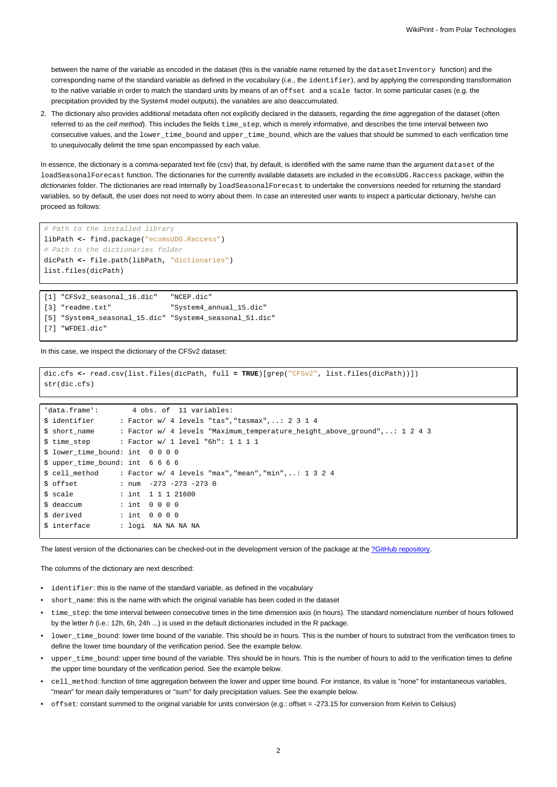between the name of the variable as encoded in the dataset (this is the variable name returned by the dataset Inventory function) and the corresponding name of the standard variable as defined in the vocabulary (i.e., the identifier), and by applying the corresponding transformation to the native variable in order to match the standard units by means of an offset and a scale factor. In some particular cases (e.g. the precipitation provided by the System4 model outputs), the variables are also deaccumulated.

2. The dictionary also provides additional metadata often not explicitly declared in the datasets, regarding the time aggregation of the dataset (often referred to as the cell method). This includes the fields  $time\_step$ , which is merely informative, and describes the time interval between two consecutive values, and the lower\_time\_bound and upper\_time\_bound, which are the values that should be summed to each verification time to unequivocally delimit the time span encompassed by each value.

In essence, the dictionary is a comma-separated text file (csv) that, by default, is identified with the same name than the argument dataset of the loadSeasonalForecast function. The dictionaries for the currently available datasets are included in the ecomsUDG.Raccess package, within the dictionaries folder. The dictionaries are read internally by loadSeasonalForecast to undertake the conversions needed for returning the standard variables, so by default, the user does not need to worry about them. In case an interested user wants to inspect a particular dictionary, he/she can proceed as follows:

```
# Path to the installed library
libPath <- find.package("ecomsUDG.Raccess")
# Path to the dictionaries folder
dicPath <- file.path(libPath, "dictionaries")
list.files(dicPath)
```

| [1] "CFSv2 seasonal 16.dic"                             | "NCEP.dic"              |
|---------------------------------------------------------|-------------------------|
| [3] "readme.txt"                                        | "System4 annual 15.dic" |
| [5] "System4 seasonal 15.dic" "System4 seasonal 51.dic" |                         |
| [7] "WFDEI.dic"                                         |                         |

In this case, we inspect the dictionary of the CFSv2 dataset:

```
dic.cfs <- read.csv(list.files(dicPath, full = TRUE)[grep("CFSv2", list.files(dicPath))])
str(dic.cfs)
```

```
'data.frame': 4 obs. of 11 variables:
$ identifier : Factor w/ 4 levels "tas","tasmax",..: 2 3 1 4
$ short_name : Factor w/ 4 levels "Maximum_temperature_height_above_ground",..: 1 2 4 3
$ time_step : Factor w/ 1 level "6h": 1 1 1 1
$ lower_time_bound: int 0 0 0 0
$ upper_time_bound: int 6 6 6 6
$ cell_method : Factor w/ 4 levels "max","mean","min",..: 1 3 2 4
$ offset : num -273 -273 -273 0
$ scale : int 1 1 1 21600
$ deaccum : int 0 0 0 0
$ derived : int 0 0 0 0
$ interface : logi NA NA NA NA
```
The latest version of the dictionaries can be checked-out in the development version of the package at the [?GitHub repository.](https://github.com/SantanderMetGroup/ecomsUDG.Raccess/tree/master/inst/dictionaries)

The columns of the dictionary are next described:

- identifier: this is the name of the standard variable, as defined in the vocabulary
- short name: this is the name with which the original variable has been coded in the dataset
- time\_step: the time interval between consecutive times in the time dimension axis (in hours). The standard nomenclature number of hours followed by the letter h (i.e.: 12h, 6h, 24h ...) is used in the default dictionaries included in the R package.
- lower time bound: lower time bound of the variable. This should be in hours. This is the number of hours to substract from the verification times to define the lower time boundary of the verification period. See the example below.
- upper\_time\_bound: upper time bound of the variable. This should be in hours. This is the number of hours to add to the verification times to define the upper time boundary of the verification period. See the example below.
- cell\_method: function of time aggregation between the lower and upper time bound. For instance, its value is "none" for instantaneous variables, "mean" for mean daily temperatures or "sum" for daily precipitation values. See the example below.
- offset: constant summed to the original variable for units conversion (e.g.: offset = -273.15 for conversion from Kelvin to Celsius)